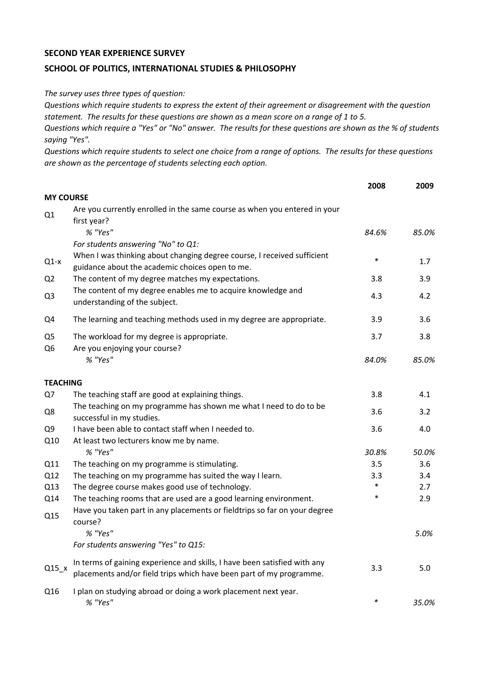## **SECOND YEAR EXPERIENCE SURVEY**

## **SCHOOL OF POLITICS, INTERNATIONAL STUDIES & PHILOSOPHY**

*The survey uses three types of question:*

*Questions which require students to express the extent of their agreement or disagreement with the question statement. The results for these questions are shown as a mean score on a range of 1 to 5.*

*Questions which require a "Yes" or "No" answer. The results for these questions are shown as the % of students saying "Yes".*

*Questions which require students to select one choice from a range of options. The results for these questions are shown as the percentage of students selecting each option.*

|                                  |                                                                                                                                                  | 2008   | 2009  |
|----------------------------------|--------------------------------------------------------------------------------------------------------------------------------------------------|--------|-------|
| <b>MY COURSE</b>                 |                                                                                                                                                  |        |       |
| Q1                               | Are you currently enrolled in the same course as when you entered in your<br>first year?                                                         |        |       |
|                                  | % "Yes"                                                                                                                                          | 84.6%  | 85.0% |
|                                  | For students answering "No" to Q1:                                                                                                               |        |       |
| $Q1-x$                           | When I was thinking about changing degree course, I received sufficient<br>guidance about the academic choices open to me.                       | $\ast$ | 1.7   |
| Q <sub>2</sub>                   | The content of my degree matches my expectations.                                                                                                | 3.8    | 3.9   |
| Q <sub>3</sub>                   | The content of my degree enables me to acquire knowledge and<br>understanding of the subject.                                                    | 4.3    | 4.2   |
| Q4                               | The learning and teaching methods used in my degree are appropriate.                                                                             | 3.9    | 3.6   |
| Q <sub>5</sub><br>Q <sub>6</sub> | The workload for my degree is appropriate.<br>Are you enjoying your course?                                                                      | 3.7    | 3.8   |
|                                  | % "Yes"                                                                                                                                          | 84.0%  | 85.0% |
| <b>TEACHING</b>                  |                                                                                                                                                  |        |       |
| Q7                               | The teaching staff are good at explaining things.                                                                                                | 3.8    | 4.1   |
| Q8                               | The teaching on my programme has shown me what I need to do to be<br>successful in my studies.                                                   | 3.6    | 3.2   |
| Q <sub>9</sub>                   | I have been able to contact staff when I needed to.                                                                                              | 3.6    | 4.0   |
| Q10                              | At least two lecturers know me by name.                                                                                                          |        |       |
|                                  | % "Yes"                                                                                                                                          | 30.8%  | 50.0% |
| Q11                              | The teaching on my programme is stimulating.                                                                                                     | 3.5    | 3.6   |
| Q12                              | The teaching on my programme has suited the way I learn.                                                                                         | 3.3    | 3.4   |
| Q13                              | The degree course makes good use of technology.                                                                                                  | $\ast$ | 2.7   |
| Q14                              | The teaching rooms that are used are a good learning environment.                                                                                | $\ast$ | 2.9   |
| Q15                              | Have you taken part in any placements or fieldtrips so far on your degree<br>course?                                                             |        |       |
|                                  | % "Yes"                                                                                                                                          |        | 5.0%  |
|                                  | For students answering "Yes" to Q15:                                                                                                             |        |       |
| $Q15_x$                          | In terms of gaining experience and skills, I have been satisfied with any<br>placements and/or field trips which have been part of my programme. | 3.3    | 5.0   |
| Q16                              | I plan on studying abroad or doing a work placement next year.<br>% "Yes"                                                                        | $\ast$ | 35.0% |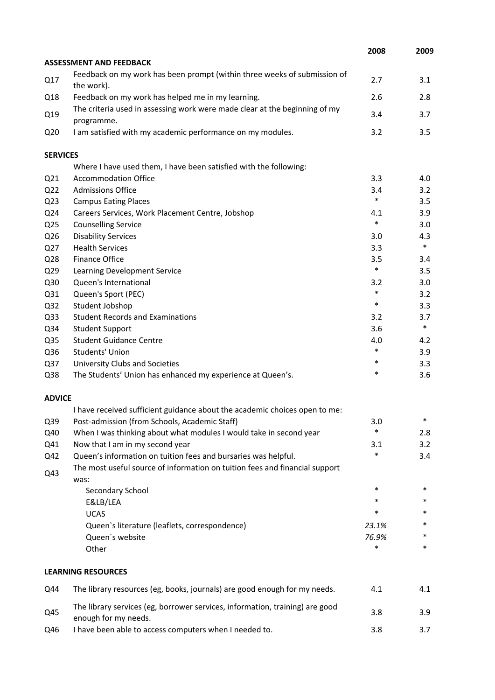|                 |                                                                                                      | 2008   | 2009   |
|-----------------|------------------------------------------------------------------------------------------------------|--------|--------|
|                 | <b>ASSESSMENT AND FEEDBACK</b>                                                                       |        |        |
| Q17             | Feedback on my work has been prompt (within three weeks of submission of<br>the work).               | 2.7    | 3.1    |
| Q18             | Feedback on my work has helped me in my learning.                                                    | 2.6    | 2.8    |
| Q19             | The criteria used in assessing work were made clear at the beginning of my<br>programme.             | 3.4    | 3.7    |
| Q <sub>20</sub> | I am satisfied with my academic performance on my modules.                                           | 3.2    | 3.5    |
| <b>SERVICES</b> |                                                                                                      |        |        |
|                 | Where I have used them, I have been satisfied with the following:                                    |        |        |
| Q <sub>21</sub> | <b>Accommodation Office</b>                                                                          | 3.3    | 4.0    |
| Q <sub>22</sub> | <b>Admissions Office</b>                                                                             | 3.4    | 3.2    |
| Q <sub>23</sub> | <b>Campus Eating Places</b>                                                                          | $\ast$ | 3.5    |
| Q24             | Careers Services, Work Placement Centre, Jobshop                                                     | 4.1    | 3.9    |
| Q <sub>25</sub> | <b>Counselling Service</b>                                                                           | $\ast$ | 3.0    |
| Q26             | <b>Disability Services</b>                                                                           | 3.0    | 4.3    |
| Q27             | <b>Health Services</b>                                                                               | 3.3    | $\ast$ |
| Q28             | <b>Finance Office</b>                                                                                | 3.5    | 3.4    |
| Q <sub>29</sub> | Learning Development Service                                                                         | $\ast$ | 3.5    |
| Q30             | Queen's International                                                                                | 3.2    | 3.0    |
| Q31             | Queen's Sport (PEC)                                                                                  | *      | 3.2    |
| Q <sub>32</sub> | Student Jobshop                                                                                      | $\ast$ | 3.3    |
| Q <sub>33</sub> | <b>Student Records and Examinations</b>                                                              | 3.2    | 3.7    |
| Q34             | <b>Student Support</b>                                                                               | 3.6    | $\ast$ |
| Q <sub>35</sub> | <b>Student Guidance Centre</b>                                                                       | 4.0    | 4.2    |
| Q36             | Students' Union                                                                                      | $\ast$ | 3.9    |
| Q <sub>37</sub> | University Clubs and Societies                                                                       | $\ast$ | 3.3    |
| Q38             | The Students' Union has enhanced my experience at Queen's.                                           | *      | 3.6    |
| <b>ADVICE</b>   |                                                                                                      |        |        |
|                 | I have received sufficient guidance about the academic choices open to me:                           |        |        |
| Q39             | Post-admission (from Schools, Academic Staff)                                                        | 3.0    |        |
| Q40             | When I was thinking about what modules I would take in second year                                   | *      | 2.8    |
| Q41             | Now that I am in my second year                                                                      | 3.1    | 3.2    |
| Q42             | Queen's information on tuition fees and bursaries was helpful.                                       | *      | 3.4    |
| Q43             | The most useful source of information on tuition fees and financial support<br>was:                  |        |        |
|                 | Secondary School                                                                                     | $\ast$ | $\ast$ |
|                 | E&LB/LEA                                                                                             | *      | *      |
|                 | <b>UCAS</b>                                                                                          | *      | *      |
|                 | Queen's literature (leaflets, correspondence)                                                        | 23.1%  | *      |
|                 | Queen's website                                                                                      | 76.9%  | *      |
|                 | Other                                                                                                | *      | *      |
|                 | <b>LEARNING RESOURCES</b>                                                                            |        |        |
| Q44             | The library resources (eg, books, journals) are good enough for my needs.                            | 4.1    | 4.1    |
| Q45             | The library services (eg, borrower services, information, training) are good<br>enough for my needs. | 3.8    | 3.9    |
| Q46             | I have been able to access computers when I needed to.                                               | 3.8    | 3.7    |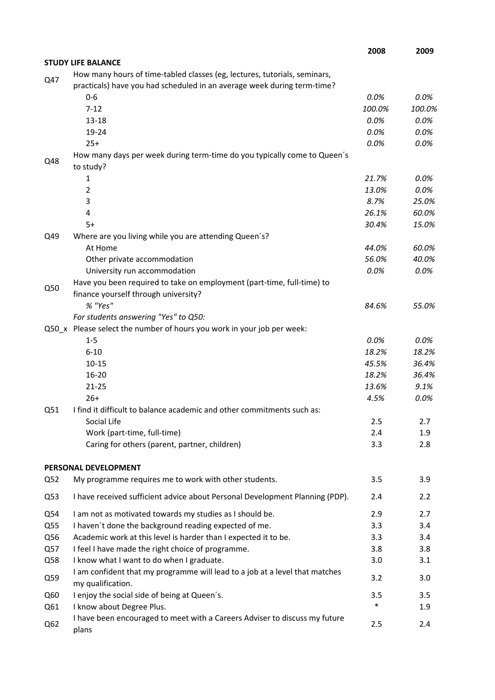|     |                                                                                                                                                      | 2008   | 2009    |
|-----|------------------------------------------------------------------------------------------------------------------------------------------------------|--------|---------|
|     | <b>STUDY LIFE BALANCE</b>                                                                                                                            |        |         |
| Q47 | How many hours of time-tabled classes (eg, lectures, tutorials, seminars,<br>practicals) have you had scheduled in an average week during term-time? |        |         |
|     | $0 - 6$                                                                                                                                              | 0.0%   | 0.0%    |
|     | $7 - 12$                                                                                                                                             | 100.0% | 100.0%  |
|     | $13 - 18$                                                                                                                                            | 0.0%   | 0.0%    |
|     | 19-24                                                                                                                                                | 0.0%   | 0.0%    |
|     | $25+$                                                                                                                                                | 0.0%   | 0.0%    |
| Q48 | How many days per week during term-time do you typically come to Queen's<br>to study?                                                                |        |         |
|     | 1                                                                                                                                                    | 21.7%  | 0.0%    |
|     | $\overline{2}$                                                                                                                                       | 13.0%  | 0.0%    |
|     | 3                                                                                                                                                    | 8.7%   | 25.0%   |
|     | 4                                                                                                                                                    | 26.1%  | 60.0%   |
|     | $5+$                                                                                                                                                 | 30.4%  | 15.0%   |
| Q49 | Where are you living while you are attending Queen's?                                                                                                |        |         |
|     | At Home                                                                                                                                              | 44.0%  | 60.0%   |
|     | Other private accommodation                                                                                                                          | 56.0%  | 40.0%   |
|     | University run accommodation                                                                                                                         | 0.0%   | 0.0%    |
|     | Have you been required to take on employment (part-time, full-time) to                                                                               |        |         |
| Q50 | finance yourself through university?                                                                                                                 |        |         |
|     | % "Yes"                                                                                                                                              | 84.6%  | 55.0%   |
|     | For students answering "Yes" to Q50:                                                                                                                 |        |         |
|     | Q50_x Please select the number of hours you work in your job per week:                                                                               |        |         |
|     | $1 - 5$                                                                                                                                              | 0.0%   | $0.0\%$ |
|     | $6 - 10$                                                                                                                                             | 18.2%  | 18.2%   |
|     | $10 - 15$                                                                                                                                            | 45.5%  | 36.4%   |
|     | $16 - 20$                                                                                                                                            | 18.2%  | 36.4%   |
|     | $21 - 25$                                                                                                                                            | 13.6%  | 9.1%    |
|     | $26+$                                                                                                                                                | 4.5%   | 0.0%    |
| Q51 | I find it difficult to balance academic and other commitments such as:                                                                               |        |         |
|     | Social Life                                                                                                                                          | 2.5    | 2.7     |
|     | Work (part-time, full-time)                                                                                                                          | 2.4    | 1.9     |
|     | Caring for others (parent, partner, children)                                                                                                        | 3.3    | 2.8     |
|     | PERSONAL DEVELOPMENT                                                                                                                                 |        |         |
| Q52 | My programme requires me to work with other students.                                                                                                | 3.5    | 3.9     |
| Q53 | I have received sufficient advice about Personal Development Planning (PDP).                                                                         | 2.4    | 2.2     |
| Q54 | I am not as motivated towards my studies as I should be.                                                                                             | 2.9    | 2.7     |
| Q55 | I haven't done the background reading expected of me.                                                                                                | 3.3    | 3.4     |
| Q56 | Academic work at this level is harder than I expected it to be.                                                                                      | 3.3    | 3.4     |
| Q57 | I feel I have made the right choice of programme.                                                                                                    | 3.8    | 3.8     |
| Q58 | I know what I want to do when I graduate.                                                                                                            | 3.0    | 3.1     |
| Q59 | I am confident that my programme will lead to a job at a level that matches<br>my qualification.                                                     | 3.2    | 3.0     |
| Q60 | I enjoy the social side of being at Queen's.                                                                                                         | 3.5    | 3.5     |
| Q61 | I know about Degree Plus.                                                                                                                            | $\ast$ | 1.9     |
| Q62 | I have been encouraged to meet with a Careers Adviser to discuss my future<br>plans                                                                  | 2.5    | 2.4     |